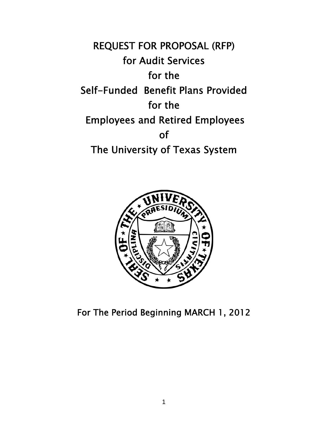REQUEST FOR PROPOSAL (RFP) for Audit Services for the Self-Funded Benefit Plans Provided for the Employees and Retired Employees of The University of Texas System



For The Period Beginning MARCH 1, 2012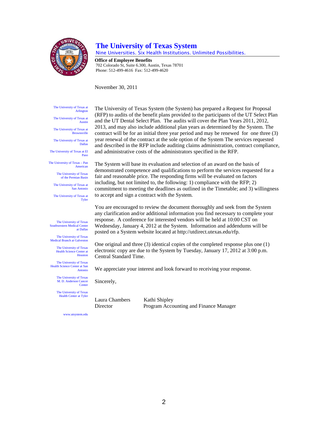

#### **The University of Texas System**

Nine Universities. Six Health Institutions. Unlimited Possibilities.

**Office of Employee Benefits**  702 Colorado St, Suite 6.300, Austin, Texas 78701 Phone: 512-499-4616 Fax: 512-499-4620

November 30, 2011

The University of Texas at Arlington

The University of Texas at Austin

The University of Texas at **Brownsville** 

The University of Texas at Dallas The University of Texas at El

The University of Texas – Pan American

Paso

The University of Texas of the Permian Basin The University of Texas at

San Antonio The University of Texas at

Tyler

The University of Texas Southwestern Medical Center at Dallas

The University of Texas Medical Branch at Galveston

> The University of Texas Health Science Center at Houston

The University of Texas Health Science Center at San Antonio

> The University of Texas M. D. Anderson Cancer

> **Center** The University of Texas

Health Center at Tyler

Sincerely,

Laura Chambers Kathi Shipley Director Program Accounting and Finance Manager

www.utsystem.edu

The University of Texas System (the System) has prepared a Request for Proposal (RFP) to audits of the benefit plans provided to the participants of the UT Select Plan and the UT Dental Select Plan. The audits will cover the Plan Years 2011, 2012, 2013, and may also include additional plan years as determined by the System. The contract will be for an initial three year period and may be renewed for one three (3) year renewal of the contract at the sole option of the System The services requested and described in the RFP include auditing claims administration, contract compliance, and administrative costs of the administrators specified in the RFP.

The System will base its evaluation and selection of an award on the basis of demonstrated competence and qualifications to perform the services requested for a fair and reasonable price. The responding firms will be evaluated on factors including, but not limited to, the following: 1) compliance with the RFP; 2) commitment to meeting the deadlines as outlined in the Timetable; and 3) willingness to accept and sign a contract with the System.

You are encouraged to review the document thoroughly and seek from the System any clarification and/or additional information you find necessary to complete your response. A conference for interested vendors will be held at 10:00 CST on Wednesday, January 4, 2012 at the System. Information and addendums will be posted on a System website located at http://utdirect.utexas.edu/rfp.

One original and three (3) identical copies of the completed response plus one (1) electronic copy are due to the System by Tuesday, January 17, 2012 at 3:00 p.m. Central Standard Time.

We appreciate your interest and look forward to receiving your response.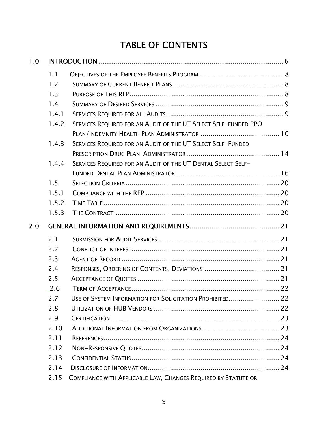## TABLE OF CONTENTS

| 1.0 |       |                                                                 |  |
|-----|-------|-----------------------------------------------------------------|--|
|     | 1.1   |                                                                 |  |
|     | 1.2   |                                                                 |  |
|     | 1.3   |                                                                 |  |
|     | 1.4   |                                                                 |  |
|     | 1.4.1 |                                                                 |  |
|     | 1.4.2 | SERVICES REQUIRED FOR AN AUDIT OF THE UT SELECT SELF-FUNDED PPO |  |
|     |       |                                                                 |  |
|     | 1.4.3 | SERVICES REQUIRED FOR AN AUDIT OF THE UT SELECT SELF-FUNDED     |  |
|     |       |                                                                 |  |
|     | 1.4.4 | SERVICES REQUIRED FOR AN AUDIT OF THE UT DENTAL SELECT SELF-    |  |
|     |       |                                                                 |  |
|     | 1.5   |                                                                 |  |
|     | 1.5.1 |                                                                 |  |
|     | 1.5.2 |                                                                 |  |
|     | 1.5.3 |                                                                 |  |
|     |       |                                                                 |  |
| 2.0 |       |                                                                 |  |
|     | 2.1   |                                                                 |  |
|     | 2.2   |                                                                 |  |
|     | 2.3   |                                                                 |  |
|     | 2.4   |                                                                 |  |
|     | 2.5   |                                                                 |  |
|     | 2.6   |                                                                 |  |
|     | 2.7   | USE OF SYSTEM INFORMATION FOR SOLICITATION PROHIBITED 22        |  |
|     | 2.8   |                                                                 |  |
|     | 2.9   |                                                                 |  |
|     | 2.10  |                                                                 |  |
|     | 2.11  |                                                                 |  |
|     | 2.12  |                                                                 |  |
|     | 2.13  |                                                                 |  |
|     | 2.14  |                                                                 |  |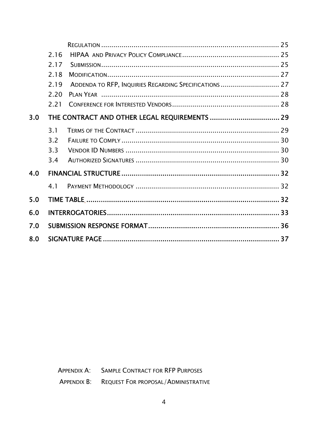|     | 2.16 |                                                        |  |  |
|-----|------|--------------------------------------------------------|--|--|
|     | 2.17 |                                                        |  |  |
|     | 2.18 |                                                        |  |  |
|     | 2.19 | ADDENDA TO RFP, INQUIRIES REGARDING SPECIFICATIONS  27 |  |  |
|     | 2.20 |                                                        |  |  |
|     | 2.21 |                                                        |  |  |
| 3.0 |      |                                                        |  |  |
|     | 3.1  |                                                        |  |  |
|     | 3.2  |                                                        |  |  |
|     | 3.3  |                                                        |  |  |
|     | 3.4  |                                                        |  |  |
| 4.0 |      |                                                        |  |  |
|     | 4.1  |                                                        |  |  |
| 5.0 |      |                                                        |  |  |
| 6.0 |      |                                                        |  |  |
| 7.0 |      |                                                        |  |  |
| 8.0 |      |                                                        |  |  |
|     |      |                                                        |  |  |

APPENDIX A: SAMPLE CONTRACT FOR RFP PURPOSES

APPENDIX B: REQUEST FOR PROPOSAL/ADMINISTRATIVE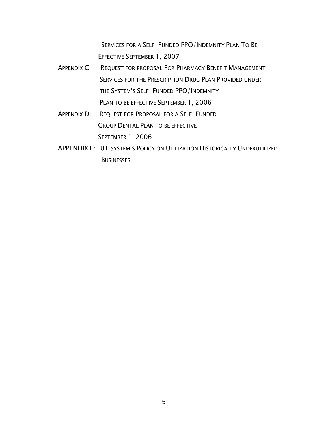SERVICES FOR A SELF-FUNDED PPO/INDEMNITY PLAN TO BE EFFECTIVE SEPTEMBER 1, 2007

- APPENDIX C: REQUEST FOR PROPOSAL FOR PHARMACY BENEFIT MANAGEMENT SERVICES FOR THE PRESCRIPTION DRUG PLAN PROVIDED UNDER THE SYSTEM'S SELF-FUNDED PPO/INDEMNITY PLAN TO BE EFFECTIVE SEPTEMBER 1, 2006
- APPENDIX D: REQUEST FOR PROPOSAL FOR A SELF-FUNDED GROUP DENTAL PLAN TO BE EFFECTIVE SEPTEMBER 1, 2006
- APPENDIX E: UT SYSTEM'S POLICY ON UTILIZATION HISTORICALLY UNDERUTILIZED **BUSINESSES**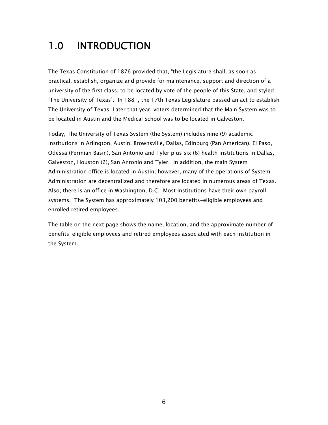# 1.0 INTRODUCTION

The Texas Constitution of 1876 provided that, "the Legislature shall, as soon as practical, establish, organize and provide for maintenance, support and direction of a university of the first class, to be located by vote of the people of this State, and styled 'The University of Texas'. In 1881, the 17th Texas Legislature passed an act to establish The University of Texas. Later that year, voters determined that the Main System was to be located in Austin and the Medical School was to be located in Galveston.

Today, The University of Texas System (the System) includes nine (9) academic institutions in Arlington, Austin, Brownsville, Dallas, Edinburg (Pan American), El Paso, Odessa (Permian Basin), San Antonio and Tyler plus six (6) health institutions in Dallas, Galveston, Houston (2), San Antonio and Tyler. In addition, the main System Administration office is located in Austin; however, many of the operations of System Administration are decentralized and therefore are located in numerous areas of Texas. Also, there is an office in Washington, D.C. Most institutions have their own payroll systems. The System has approximately 103,200 benefits-eligible employees and enrolled retired employees.

The table on the next page shows the name, location, and the approximate number of benefits-eligible employees and retired employees associated with each institution in the System.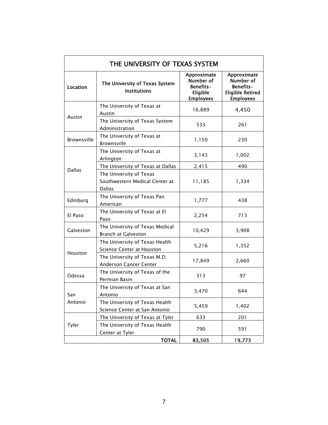| Location      | The University of Texas System<br><b>Institutions</b>                      | Approximate<br>Number of<br>Benefits-<br>Eligible | Approximate<br>Number of<br>Benefits-<br><b>Eligible Retired</b> |
|---------------|----------------------------------------------------------------------------|---------------------------------------------------|------------------------------------------------------------------|
|               | The University of Texas at<br>Austin                                       | <b>Employees</b><br>16,889                        | <b>Employees</b><br>4,450                                        |
| Austin        | The University of Texas System<br>Administration                           | 533                                               | 261                                                              |
| Brownsville   | The University of Texas at<br>Brownsville                                  | 1,150                                             | 230                                                              |
|               | The University of Texas at<br>Arlington                                    | 3,143                                             | 1,002                                                            |
|               | The University of Texas at Dallas                                          | 2,415                                             | 490                                                              |
| <b>Dallas</b> | The University of Texas<br>Southwestern Medical Center at<br><b>Dallas</b> | 11,185                                            | 1,334                                                            |
| Edinburg      | The University of Texas Pan<br>American                                    | 1,777                                             | 438                                                              |
| El Paso       | The University of Texas at El<br>Paso                                      | 2,254                                             | 713                                                              |
| Galveston     | The University of Texas Medical<br><b>Branch at Galveston</b>              | 10,429                                            | 3,908                                                            |
|               | The University of Texas Health<br>Science Center at Houston                | 5,216                                             | 1,352                                                            |
| Houston       | The University of Texas M.D.<br><b>Anderson Cancer Center</b>              | 17,849                                            | 2,660                                                            |
| Odessa        | The University of Texas of the<br>Permian Basin                            | 313                                               | 97                                                               |
| San           | The University of Texas at San<br>Antonio                                  | 3,470                                             | 644                                                              |
| Antonio       | The University of Texas Health<br>Science Center at San Antonio            | 5,459                                             | 1,402                                                            |
|               | The University of Texas at Tyler                                           | 633                                               | 201                                                              |
| Tyler         | The University of Texas Health<br>Center at Tyler                          | 790                                               | 591                                                              |
|               | <b>TOTAL</b>                                                               | 83,505                                            | 19,773                                                           |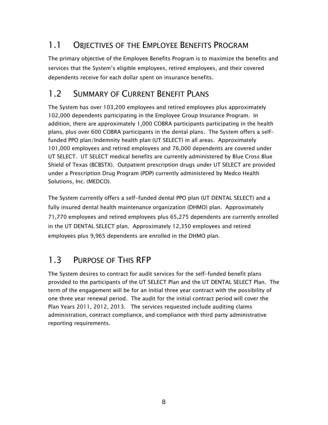## 1.1 OBJECTIVES OF THE EMPLOYEE BENEFITS PROGRAM

The primary objective of the Employee Benefits Program is to maximize the benefits and services that the System's eligible employees, retired employees, and their covered dependents receive for each dollar spent on insurance benefits.

## 1.2 SUMMARY OF CURRENT BENEFIT PLANS

The System has over 103,200 employees and retired employees plus approximately 102,000 dependents participating in the Employee Group Insurance Program. In addition, there are approximately 1,000 COBRA participants participating in the health plans, plus over 600 COBRA participants in the dental plans. The System offers a selffunded PPO plan/Indemnity health plan (UT SELECT) in all areas. Approximately 101,000 employees and retired employees and 76,000 dependents are covered under UT SELECT. UT SELECT medical benefits are currently administered by Blue Cross Blue Shield of Texas (BCBSTX). Outpatient prescription drugs under UT SELECT are provided under a Prescription Drug Program (PDP) currently administered by Medco Health Solutions, Inc. (MEDCO).

The System currently offers a self-funded dental PPO plan (UT DENTAL SELECT) and a fully insured dental health maintenance organization (DHMO) plan. Approximately 71,770 employees and retired employees plus 65,275 dependents are currently enrolled in the UT DENTAL SELECT plan. Approximately 12,350 employees and retired employees plus 9,965 dependents are enrolled in the DHMO plan.

## 1.3 PURPOSE OF THIS RFP

The System desires to contract for audit services for the self-funded benefit plans provided to the participants of the UT SELECT Plan and the UT DENTAL SELECT Plan. The term of the engagement will be for an initial three year contract with the possibility of one three year renewal period. The audit for the initial contract period will cover the Plan Years 2011, 2012, 2013. The services requested include auditing claims administration, contract compliance, and compliance with third party administrative reporting requirements.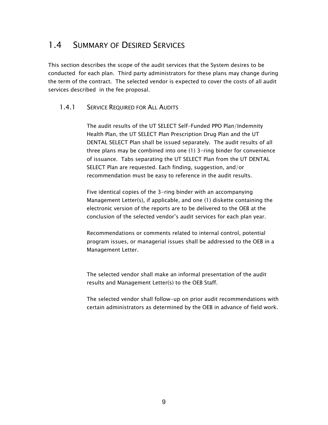### 1.4 SUMMARY OF DESIRED SERVICES

This section describes the scope of the audit services that the System desires to be conducted for each plan. Third party administrators for these plans may change during the term of the contract. The selected vendor is expected to cover the costs of all audit services described in the fee proposal.

#### 1.4.1 SERVICE REQUIRED FOR ALL AUDITS

The audit results of the UT SELECT Self-Funded PPO Plan/Indemnity Health Plan, the UT SELECT Plan Prescription Drug Plan and the UT DENTAL SELECT Plan shall be issued separately. The audit results of all three plans may be combined into one (1) 3-ring binder for convenience of issuance. Tabs separating the UT SELECT Plan from the UT DENTAL SELECT Plan are requested. Each finding, suggestion, and/or recommendation must be easy to reference in the audit results.

Five identical copies of the 3-ring binder with an accompanying Management Letter(s), if applicable, and one (1) diskette containing the electronic version of the reports are to be delivered to the OEB at the conclusion of the selected vendor's audit services for each plan year.

Recommendations or comments related to internal control, potential program issues, or managerial issues shall be addressed to the OEB in a Management Letter.

The selected vendor shall make an informal presentation of the audit results and Management Letter(s) to the OEB Staff.

The selected vendor shall follow-up on prior audit recommendations with certain administrators as determined by the OEB in advance of field work.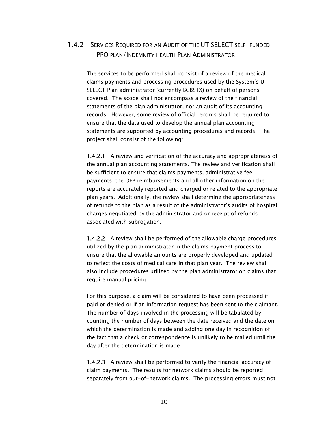#### 1.4.2 SERVICES REQUIRED FOR AN AUDIT OF THE UT SELECT SELF-FUNDED PPO PLAN/INDEMNITY HEALTH PLAN ADMINISTRATOR

The services to be performed shall consist of a review of the medical claims payments and processing procedures used by the System's UT SELECT Plan administrator (currently BCBSTX) on behalf of persons covered. The scope shall not encompass a review of the financial statements of the plan administrator, nor an audit of its accounting records. However, some review of official records shall be required to ensure that the data used to develop the annual plan accounting statements are supported by accounting procedures and records. The project shall consist of the following:

1.4.2.1 A review and verification of the accuracy and appropriateness of the annual plan accounting statements. The review and verification shall be sufficient to ensure that claims payments, administrative fee payments, the OEB reimbursements and all other information on the reports are accurately reported and charged or related to the appropriate plan years. Additionally, the review shall determine the appropriateness of refunds to the plan as a result of the administrator's audits of hospital charges negotiated by the administrator and or receipt of refunds associated with subrogation.

1.4.2.2 A review shall be performed of the allowable charge procedures utilized by the plan administrator in the claims payment process to ensure that the allowable amounts are properly developed and updated to reflect the costs of medical care in that plan year. The review shall also include procedures utilized by the plan administrator on claims that require manual pricing.

For this purpose, a claim will be considered to have been processed if paid or denied or if an information request has been sent to the claimant. The number of days involved in the processing will be tabulated by counting the number of days between the date received and the date on which the determination is made and adding one day in recognition of the fact that a check or correspondence is unlikely to be mailed until the day after the determination is made.

1.4.2.3 A review shall be performed to verify the financial accuracy of claim payments. The results for network claims should be reported separately from out-of-network claims. The processing errors must not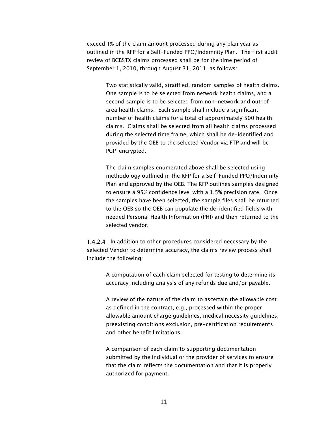exceed 1% of the claim amount processed during any plan year as outlined in the RFP for a Self-Funded PPO/Indemnity Plan. The first audit review of BCBSTX claims processed shall be for the time period of September 1, 2010, through August 31, 2011, as follows:

Two statistically valid, stratified, random samples of health claims. One sample is to be selected from network health claims, and a second sample is to be selected from non-network and out-ofarea health claims. Each sample shall include a significant number of health claims for a total of approximately 500 health claims. Claims shall be selected from all health claims processed during the selected time frame, which shall be de-identified and provided by the OEB to the selected Vendor via FTP and will be PGP-encrypted.

The claim samples enumerated above shall be selected using methodology outlined in the RFP for a Self-Funded PPO/Indemnity Plan and approved by the OEB. The RFP outlines samples designed to ensure a 95% confidence level with a 1.5% precision rate. Once the samples have been selected, the sample files shall be returned to the OEB so the OEB can populate the de-identified fields with needed Personal Health Information (PHI) and then returned to the selected vendor.

1.4.2.4 In addition to other procedures considered necessary by the selected Vendor to determine accuracy, the claims review process shall include the following:

> A computation of each claim selected for testing to determine its accuracy including analysis of any refunds due and/or payable.

A review of the nature of the claim to ascertain the allowable cost as defined in the contract, e.g., processed within the proper allowable amount charge guidelines, medical necessity guidelines, preexisting conditions exclusion, pre-certification requirements and other benefit limitations.

A comparison of each claim to supporting documentation submitted by the individual or the provider of services to ensure that the claim reflects the documentation and that it is properly authorized for payment.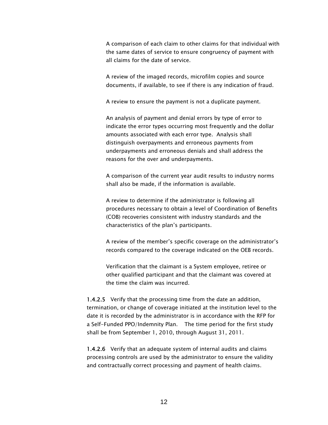A comparison of each claim to other claims for that individual with the same dates of service to ensure congruency of payment with all claims for the date of service.

A review of the imaged records, microfilm copies and source documents, if available, to see if there is any indication of fraud.

A review to ensure the payment is not a duplicate payment.

An analysis of payment and denial errors by type of error to indicate the error types occurring most frequently and the dollar amounts associated with each error type. Analysis shall distinguish overpayments and erroneous payments from underpayments and erroneous denials and shall address the reasons for the over and underpayments.

A comparison of the current year audit results to industry norms shall also be made, if the information is available.

A review to determine if the administrator is following all procedures necessary to obtain a level of Coordination of Benefits (COB) recoveries consistent with industry standards and the characteristics of the plan's participants.

A review of the member's specific coverage on the administrator's records compared to the coverage indicated on the OEB records.

Verification that the claimant is a System employee, retiree or other qualified participant and that the claimant was covered at the time the claim was incurred.

1.4.2.5 Verify that the processing time from the date an addition, termination, or change of coverage initiated at the institution level to the date it is recorded by the administrator is in accordance with the RFP for a Self-Funded PPO/Indemnity Plan. The time period for the first study shall be from September 1, 2010, through August 31, 2011.

1.4.2.6 Verify that an adequate system of internal audits and claims processing controls are used by the administrator to ensure the validity and contractually correct processing and payment of health claims.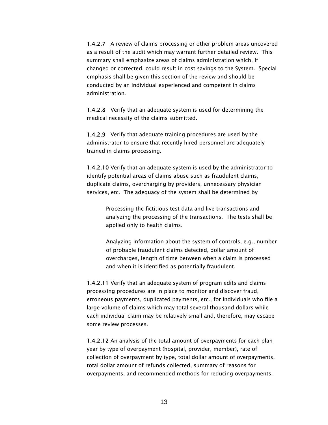1.4.2.7 A review of claims processing or other problem areas uncovered as a result of the audit which may warrant further detailed review. This summary shall emphasize areas of claims administration which, if changed or corrected, could result in cost savings to the System. Special emphasis shall be given this section of the review and should be conducted by an individual experienced and competent in claims administration.

1.4.2.8 Verify that an adequate system is used for determining the medical necessity of the claims submitted.

1.4.2.9 Verify that adequate training procedures are used by the administrator to ensure that recently hired personnel are adequately trained in claims processing.

1.4.2.10 Verify that an adequate system is used by the administrator to identify potential areas of claims abuse such as fraudulent claims, duplicate claims, overcharging by providers, unnecessary physician services, etc. The adequacy of the system shall be determined by

> Processing the fictitious test data and live transactions and analyzing the processing of the transactions. The tests shall be applied only to health claims.

Analyzing information about the system of controls, e.g., number of probable fraudulent claims detected, dollar amount of overcharges, length of time between when a claim is processed and when it is identified as potentially fraudulent.

1.4.2.11 Verify that an adequate system of program edits and claims processing procedures are in place to monitor and discover fraud, erroneous payments, duplicated payments, etc., for individuals who file a large volume of claims which may total several thousand dollars while each individual claim may be relatively small and, therefore, may escape some review processes.

1.4.2.12 An analysis of the total amount of overpayments for each plan year by type of overpayment (hospital, provider, member), rate of collection of overpayment by type, total dollar amount of overpayments, total dollar amount of refunds collected, summary of reasons for overpayments, and recommended methods for reducing overpayments.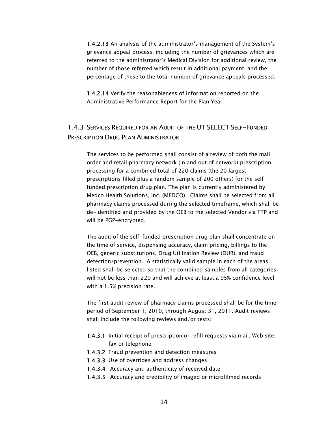1.4.2.13 An analysis of the administrator's management of the System's grievance appeal process, including the number of grievances which are referred to the administrator's Medical Division for additional review, the number of those referred which result in additional payment, and the percentage of these to the total number of grievance appeals processed.

1.4.2.14 Verify the reasonableness of information reported on the Administrative Performance Report for the Plan Year.

#### 1.4.3 SERVICES REQUIRED FOR AN AUDIT OF THE UT SELECT SELF-FUNDED PRESCRIPTION DRUG PLAN ADMINISTRATOR

The services to be performed shall consist of a review of both the mail order and retail pharmacy network (in and out of network) prescription processing for a combined total of 220 claims (the 20 largest prescriptions filled plus a random sample of 200 others) for the selffunded prescription drug plan. The plan is currently administered by Medco Health Solutions, Inc. (MEDCO). Claims shall be selected from all pharmacy claims processed during the selected timeframe, which shall be de-identified and provided by the OEB to the selected Vendor via FTP and will be PGP-encrypted.

The audit of the self-funded prescription drug plan shall concentrate on the time of service, dispensing accuracy, claim pricing, billings to the OEB, generic substitutions, Drug Utilization Review (DUR), and fraud detection/prevention. A statistically valid sample in each of the areas listed shall be selected so that the combined samples from all categories will not be less than 220 and will achieve at least a 95% confidence level with a 1.5% precision rate.

The first audit review of pharmacy claims processed shall be for the time period of September 1, 2010, through August 31, 2011. Audit reviews shall include the following reviews and/or tests:

- 1.4.3.1 Initial receipt of prescription or refill requests via mail, Web site, fax or telephone
- 1.4.3.2 Fraud prevention and detection measures
- 1.4.3.3 Use of overrides and address changes
- 1.4.3.4 Accuracy and authenticity of received date
- 1.4.3.5 Accuracy and credibility of imaged or microfilmed records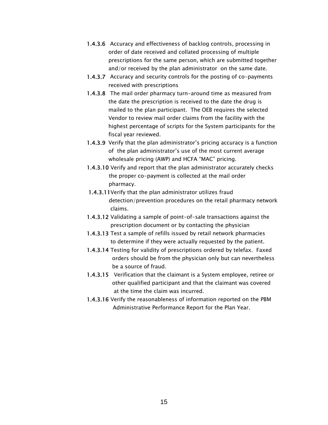- 1.4.3.6 Accuracy and effectiveness of backlog controls, processing in order of date received and collated processing of multiple prescriptions for the same person, which are submitted together and/or received by the plan administrator on the same date.
- 1.4.3.7 Accuracy and security controls for the posting of co-payments received with prescriptions
- 1.4.3.8 The mail order pharmacy turn-around time as measured from the date the prescription is received to the date the drug is mailed to the plan participant. The OEB requires the selected Vendor to review mail order claims from the facility with the highest percentage of scripts for the System participants for the fiscal year reviewed.
- 1.4.3.9 Verify that the plan administrator's pricing accuracy is a function of the plan administrator's use of the most current average wholesale pricing (AWP) and HCFA "MAC" pricing.
- 1.4.3.10 Verify and report that the plan administrator accurately checks the proper co-payment is collected at the mail order pharmacy.
- 1.4.3.11Verify that the plan administrator utilizes fraud detection/prevention procedures on the retail pharmacy network claims.
- 1.4.3.12 Validating a sample of point-of-sale transactions against the prescription document or by contacting the physician
- 1.4.3.13 Test a sample of refills issued by retail network pharmacies to determine if they were actually requested by the patient.
- 1.4.3.14 Testing for validity of prescriptions ordered by telefax. Faxed orders should be from the physician only but can nevertheless be a source of fraud.
- 1.4.3.15 Verification that the claimant is a System employee, retiree or other qualified participant and that the claimant was covered at the time the claim was incurred.
- 1.4.3.16 Verify the reasonableness of information reported on the PBM Administrative Performance Report for the Plan Year.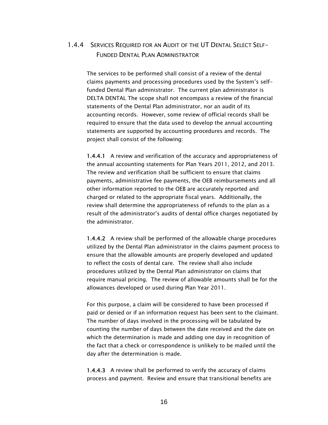#### 1.4.4 SERVICES REQUIRED FOR AN AUDIT OF THE UT DENTAL SELECT SELF-FUNDED DENTAL PLAN ADMINISTRATOR

The services to be performed shall consist of a review of the dental claims payments and processing procedures used by the System's selffunded Dental Plan administrator. The current plan administrator is DELTA DENTAL The scope shall not encompass a review of the financial statements of the Dental Plan administrator, nor an audit of its accounting records. However, some review of official records shall be required to ensure that the data used to develop the annual accounting statements are supported by accounting procedures and records. The project shall consist of the following:

1.4.4.1 A review and verification of the accuracy and appropriateness of the annual accounting statements for Plan Years 2011, 2012, and 2013. The review and verification shall be sufficient to ensure that claims payments, administrative fee payments, the OEB reimbursements and all other information reported to the OEB are accurately reported and charged or related to the appropriate fiscal years. Additionally, the review shall determine the appropriateness of refunds to the plan as a result of the administrator's audits of dental office charges negotiated by the administrator.

1.4.4.2 A review shall be performed of the allowable charge procedures utilized by the Dental Plan administrator in the claims payment process to ensure that the allowable amounts are properly developed and updated to reflect the costs of dental care. The review shall also include procedures utilized by the Dental Plan administrator on claims that require manual pricing. The review of allowable amounts shall be for the allowances developed or used during Plan Year 2011.

For this purpose, a claim will be considered to have been processed if paid or denied or if an information request has been sent to the claimant. The number of days involved in the processing will be tabulated by counting the number of days between the date received and the date on which the determination is made and adding one day in recognition of the fact that a check or correspondence is unlikely to be mailed until the day after the determination is made.

1.4.4.3 A review shall be performed to verify the accuracy of claims process and payment. Review and ensure that transitional benefits are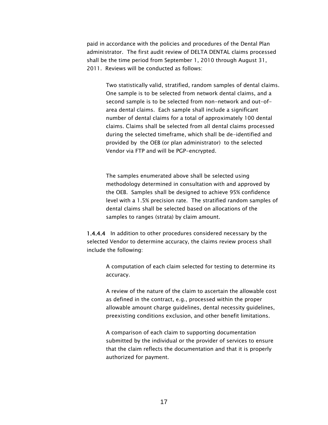paid in accordance with the policies and procedures of the Dental Plan administrator. The first audit review of DELTA DENTAL claims processed shall be the time period from September 1, 2010 through August 31, 2011. Reviews will be conducted as follows:

> Two statistically valid, stratified, random samples of dental claims. One sample is to be selected from network dental claims, and a second sample is to be selected from non-network and out-ofarea dental claims. Each sample shall include a significant number of dental claims for a total of approximately 100 dental claims. Claims shall be selected from all dental claims processed during the selected timeframe, which shall be de-identified and provided by the OEB (or plan administrator) to the selected Vendor via FTP and will be PGP-encrypted.

> The samples enumerated above shall be selected using methodology determined in consultation with and approved by the OEB. Samples shall be designed to achieve 95% confidence level with a 1.5% precision rate. The stratified random samples of dental claims shall be selected based on allocations of the samples to ranges (strata) by claim amount.

1.4.4.4 In addition to other procedures considered necessary by the selected Vendor to determine accuracy, the claims review process shall include the following:

> A computation of each claim selected for testing to determine its accuracy.

> A review of the nature of the claim to ascertain the allowable cost as defined in the contract, e.g., processed within the proper allowable amount charge guidelines, dental necessity guidelines, preexisting conditions exclusion, and other benefit limitations.

A comparison of each claim to supporting documentation submitted by the individual or the provider of services to ensure that the claim reflects the documentation and that it is properly authorized for payment.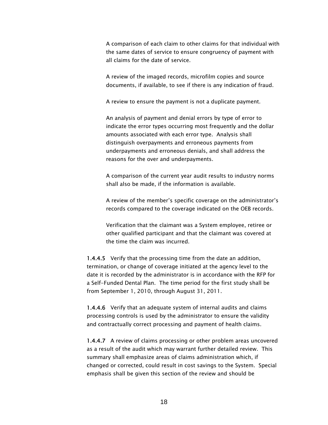A comparison of each claim to other claims for that individual with the same dates of service to ensure congruency of payment with all claims for the date of service.

A review of the imaged records, microfilm copies and source documents, if available, to see if there is any indication of fraud.

A review to ensure the payment is not a duplicate payment.

An analysis of payment and denial errors by type of error to indicate the error types occurring most frequently and the dollar amounts associated with each error type. Analysis shall distinguish overpayments and erroneous payments from underpayments and erroneous denials, and shall address the reasons for the over and underpayments.

A comparison of the current year audit results to industry norms shall also be made, if the information is available.

A review of the member's specific coverage on the administrator's records compared to the coverage indicated on the OEB records.

Verification that the claimant was a System employee, retiree or other qualified participant and that the claimant was covered at the time the claim was incurred.

1.4.4.5 Verify that the processing time from the date an addition, termination, or change of coverage initiated at the agency level to the date it is recorded by the administrator is in accordance with the RFP for a Self-Funded Dental Plan. The time period for the first study shall be from September 1, 2010, through August 31, 2011.

1.4.4.6 Verify that an adequate system of internal audits and claims processing controls is used by the administrator to ensure the validity and contractually correct processing and payment of health claims.

1.4.4.7 A review of claims processing or other problem areas uncovered as a result of the audit which may warrant further detailed review. This summary shall emphasize areas of claims administration which, if changed or corrected, could result in cost savings to the System. Special emphasis shall be given this section of the review and should be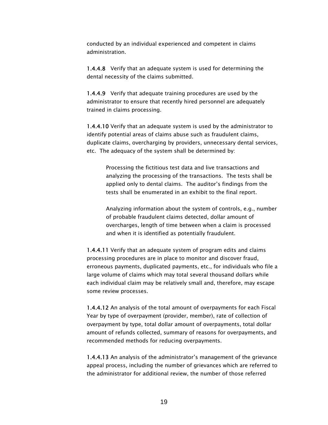conducted by an individual experienced and competent in claims administration.

1.4.4.8 Verify that an adequate system is used for determining the dental necessity of the claims submitted.

1.4.4.9 Verify that adequate training procedures are used by the administrator to ensure that recently hired personnel are adequately trained in claims processing.

1.4.4.10 Verify that an adequate system is used by the administrator to identify potential areas of claims abuse such as fraudulent claims, duplicate claims, overcharging by providers, unnecessary dental services, etc. The adequacy of the system shall be determined by:

> Processing the fictitious test data and live transactions and analyzing the processing of the transactions. The tests shall be applied only to dental claims. The auditor's findings from the tests shall be enumerated in an exhibit to the final report.

Analyzing information about the system of controls, e.g., number of probable fraudulent claims detected, dollar amount of overcharges, length of time between when a claim is processed and when it is identified as potentially fraudulent.

1.4.4.11 Verify that an adequate system of program edits and claims processing procedures are in place to monitor and discover fraud, erroneous payments, duplicated payments, etc., for individuals who file a large volume of claims which may total several thousand dollars while each individual claim may be relatively small and, therefore, may escape some review processes.

1.4.4.12 An analysis of the total amount of overpayments for each Fiscal Year by type of overpayment (provider, member), rate of collection of overpayment by type, total dollar amount of overpayments, total dollar amount of refunds collected, summary of reasons for overpayments, and recommended methods for reducing overpayments.

1.4.4.13 An analysis of the administrator's management of the grievance appeal process, including the number of grievances which are referred to the administrator for additional review, the number of those referred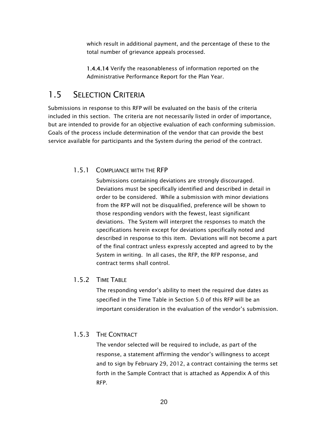which result in additional payment, and the percentage of these to the total number of grievance appeals processed.

1.4.4.14 Verify the reasonableness of information reported on the Administrative Performance Report for the Plan Year.

#### 1.5 SELECTION CRITERIA

Submissions in response to this RFP will be evaluated on the basis of the criteria included in this section. The criteria are not necessarily listed in order of importance, but are intended to provide for an objective evaluation of each conforming submission. Goals of the process include determination of the vendor that can provide the best service available for participants and the System during the period of the contract.

#### 1.5.1 COMPLIANCE WITH THE RFP

Submissions containing deviations are strongly discouraged. Deviations must be specifically identified and described in detail in order to be considered. While a submission with minor deviations from the RFP will not be disqualified, preference will be shown to those responding vendors with the fewest, least significant deviations. The System will interpret the responses to match the specifications herein except for deviations specifically noted and described in response to this item. Deviations will not become a part of the final contract unless expressly accepted and agreed to by the System in writing. In all cases, the RFP, the RFP response, and contract terms shall control.

#### 1.5.2 TIME TABLE

The responding vendor's ability to meet the required due dates as specified in the Time Table in Section 5.0 of this RFP will be an important consideration in the evaluation of the vendor's submission.

#### 1.5.3 THE CONTRACT

The vendor selected will be required to include, as part of the response, a statement affirming the vendor's willingness to accept and to sign by February 29, 2012, a contract containing the terms set forth in the Sample Contract that is attached as Appendix A of this RFP.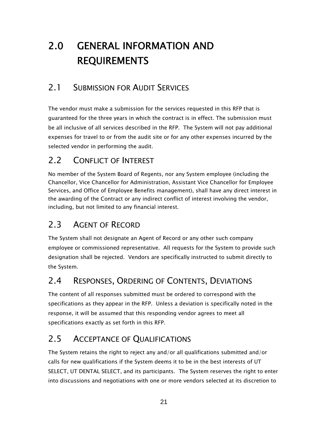# 2.0 GENERAL INFORMATION AND REQUIREMENTS

## 2.1 SUBMISSION FOR AUDIT SERVICES

The vendor must make a submission for the services requested in this RFP that is guaranteed for the three years in which the contract is in effect. The submission must be all inclusive of all services described in the RFP. The System will not pay additional expenses for travel to or from the audit site or for any other expenses incurred by the selected vendor in performing the audit.

## 2.2 CONFLICT OF INTEREST

No member of the System Board of Regents, nor any System employee (including the Chancellor, Vice Chancellor for Administration, Assistant Vice Chancellor for Employee Services, and Office of Employee Benefits management), shall have any direct interest in the awarding of the Contract or any indirect conflict of interest involving the vendor, including, but not limited to any financial interest.

## 2.3 AGENT OF RECORD

The System shall not designate an Agent of Record or any other such company employee or commissioned representative. All requests for the System to provide such designation shall be rejected. Vendors are specifically instructed to submit directly to the System.

## 2.4 RESPONSES, ORDERING OF CONTENTS, DEVIATIONS

The content of all responses submitted must be ordered to correspond with the specifications as they appear in the RFP. Unless a deviation is specifically noted in the response, it will be assumed that this responding vendor agrees to meet all specifications exactly as set forth in this RFP.

## 2.5 ACCEPTANCE OF QUALIFICATIONS

The System retains the right to reject any and/or all qualifications submitted and/or calls for new qualifications if the System deems it to be in the best interests of UT SELECT, UT DENTAL SELECT, and its participants. The System reserves the right to enter into discussions and negotiations with one or more vendors selected at its discretion to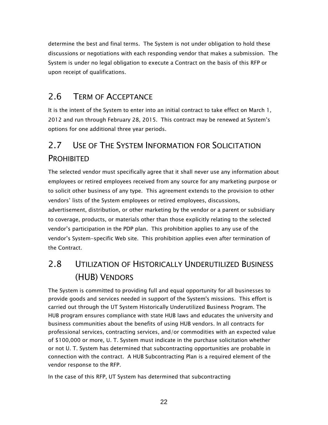determine the best and final terms. The System is not under obligation to hold these discussions or negotiations with each responding vendor that makes a submission. The System is under no legal obligation to execute a Contract on the basis of this RFP or upon receipt of qualifications.

### 2.6 TERM OF ACCEPTANCE

It is the intent of the System to enter into an initial contract to take effect on March 1, 2012 and run through February 28, 2015. This contract may be renewed at System's options for one additional three year periods.

## 2.7 USE OF THE SYSTEM INFORMATION FOR SOLICITATION PROHIBITED

The selected vendor must specifically agree that it shall never use any information about employees or retired employees received from any source for any marketing purpose or to solicit other business of any type. This agreement extends to the provision to other vendors' lists of the System employees or retired employees, discussions, advertisement, distribution, or other marketing by the vendor or a parent or subsidiary to coverage, products, or materials other than those explicitly relating to the selected vendor's participation in the PDP plan. This prohibition applies to any use of the vendor's System-specific Web site. This prohibition applies even after termination of the Contract.

## 2.8 UTILIZATION OF HISTORICALLY UNDERUTILIZED BUSINESS (HUB) VENDORS

The System is committed to providing full and equal opportunity for all businesses to provide goods and services needed in support of the System's missions. This effort is carried out through the UT System Historically Underutilized Business Program. The HUB program ensures compliance with state HUB laws and educates the university and business communities about the benefits of using HUB vendors. In all contracts for professional services, contracting services, and/or commodities with an expected value of \$100,000 or more, U. T. System must indicate in the purchase solicitation whether or not U. T. System has determined that subcontracting opportunities are probable in connection with the contract. A HUB Subcontracting Plan is a required element of the vendor response to the RFP.

In the case of this RFP, UT System has determined that subcontracting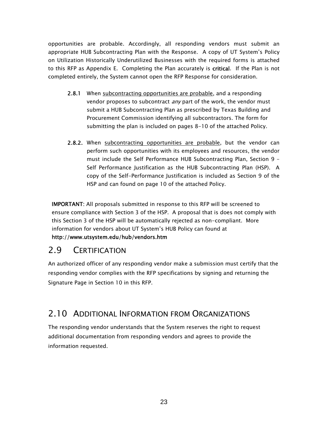opportunities are probable. Accordingly, all responding vendors must submit an appropriate HUB Subcontracting Plan with the Response. A copy of UT System's Policy on Utilization Historically Underutilized Businesses with the required forms is attached to this RFP as Appendix E. Completing the Plan accurately is **critical**. If the Plan is not completed entirely, the System cannot open the RFP Response for consideration.

- 2.8.1 When subcontracting opportunities are probable, and a responding vendor proposes to subcontract *any* part of the work, the vendor must submit a HUB Subcontracting Plan as prescribed by Texas Building and Procurement Commission identifying all subcontractors. The form for submitting the plan is included on pages 8-10 of the attached Policy.
- 2.8.2. When subcontracting opportunities are probable, but the vendor can perform such opportunities with its employees and resources, the vendor must include the Self Performance HUB Subcontracting Plan, Section 9 – Self Performance Justification as the HUB Subcontracting Plan (HSP). A copy of the Self-Performance Justification is included as Section 9 of the HSP and can found on page 10 of the attached Policy.

IMPORTANT: All proposals submitted in response to this RFP will be screened to ensure compliance with Section 3 of the HSP. A proposal that is does not comply with this Section 3 of the HSP will be automatically rejected as non-compliant. More information for vendors about UT System's HUB Policy can found at http://www.utsystem.edu/hub/vendors.htm

## 2.9 CERTIFICATION

An authorized officer of any responding vendor make a submission must certify that the responding vendor complies with the RFP specifications by signing and returning the Signature Page in Section 10 in this RFP.

### 2.10 ADDITIONAL INFORMATION FROM ORGANIZATIONS

The responding vendor understands that the System reserves the right to request additional documentation from responding vendors and agrees to provide the information requested.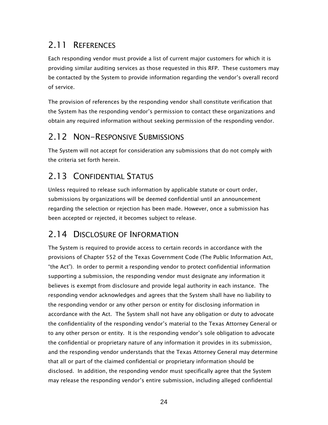## 2.11 REFERENCES

Each responding vendor must provide a list of current major customers for which it is providing similar auditing services as those requested in this RFP. These customers may be contacted by the System to provide information regarding the vendor's overall record of service.

The provision of references by the responding vendor shall constitute verification that the System has the responding vendor's permission to contact these organizations and obtain any required information without seeking permission of the responding vendor.

### 2.12 NON-RESPONSIVE SUBMISSIONS

The System will not accept for consideration any submissions that do not comply with the criteria set forth herein.

## 2.13 CONFIDENTIAL STATUS

Unless required to release such information by applicable statute or court order, submissions by organizations will be deemed confidential until an announcement regarding the selection or rejection has been made. However, once a submission has been accepted or rejected, it becomes subject to release.

## 2.14 DISCLOSURE OF INFORMATION

The System is required to provide access to certain records in accordance with the provisions of Chapter 552 of the Texas Government Code (The Public Information Act, "the Act"). In order to permit a responding vendor to protect confidential information supporting a submission, the responding vendor must designate any information it believes is exempt from disclosure and provide legal authority in each instance. The responding vendor acknowledges and agrees that the System shall have no liability to the responding vendor or any other person or entity for disclosing information in accordance with the Act. The System shall not have any obligation or duty to advocate the confidentiality of the responding vendor's material to the Texas Attorney General or to any other person or entity. It is the responding vendor's sole obligation to advocate the confidential or proprietary nature of any information it provides in its submission, and the responding vendor understands that the Texas Attorney General may determine that all or part of the claimed confidential or proprietary information should be disclosed. In addition, the responding vendor must specifically agree that the System may release the responding vendor's entire submission, including alleged confidential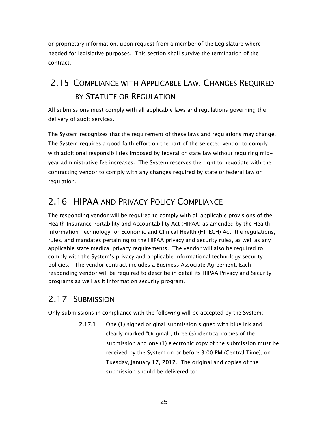or proprietary information, upon request from a member of the Legislature where needed for legislative purposes. This section shall survive the termination of the contract.

## 2.15 COMPLIANCE WITH APPLICABLE LAW, CHANGES REQUIRED BY STATUTE OR REGULATION

All submissions must comply with all applicable laws and regulations governing the delivery of audit services.

The System recognizes that the requirement of these laws and regulations may change. The System requires a good faith effort on the part of the selected vendor to comply with additional responsibilities imposed by federal or state law without requiring midyear administrative fee increases. The System reserves the right to negotiate with the contracting vendor to comply with any changes required by state or federal law or regulation.

## 2.16 HIPAA AND PRIVACY POLICY COMPLIANCE

The responding vendor will be required to comply with all applicable provisions of the Health Insurance Portability and Accountability Act (HIPAA) as amended by the Health Information Technology for Economic and Clinical Health (HITECH) Act, the regulations, rules, and mandates pertaining to the HIPAA privacy and security rules, as well as any applicable state medical privacy requirements. The vendor will also be required to comply with the System's privacy and applicable informational technology security policies. The vendor contract includes a Business Associate Agreement. Each responding vendor will be required to describe in detail its HIPAA Privacy and Security programs as well as it information security program.

## 2.17 SUBMISSION

Only submissions in compliance with the following will be accepted by the System:

2.17.1 One (1) signed original submission signed with blue ink and clearly marked "Original", three (3) identical copies of the submission and one (1) electronic copy of the submission must be received by the System on or before 3:00 PM (Central Time), on Tuesday, January 17, 2012. The original and copies of the submission should be delivered to: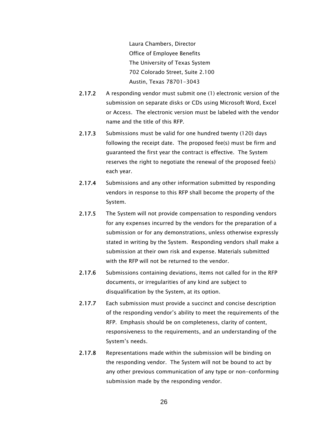Laura Chambers, Director Office of Employee Benefits The University of Texas System 702 Colorado Street, Suite 2.100 Austin, Texas 78701-3043

- 2.17.2 A responding vendor must submit one (1) electronic version of the submission on separate disks or CDs using Microsoft Word, Excel or Access. The electronic version must be labeled with the vendor name and the title of this RFP.
- 2.17.3 Submissions must be valid for one hundred twenty (120) days following the receipt date. The proposed fee(s) must be firm and guaranteed the first year the contract is effective. The System reserves the right to negotiate the renewal of the proposed fee(s) each year.
- 2.17.4 Submissions and any other information submitted by responding vendors in response to this RFP shall become the property of the System.
- 2.17.5 The System will not provide compensation to responding vendors for any expenses incurred by the vendors for the preparation of a submission or for any demonstrations, unless otherwise expressly stated in writing by the System. Responding vendors shall make a submission at their own risk and expense. Materials submitted with the RFP will not be returned to the vendor.
- 2.17.6 Submissions containing deviations, items not called for in the RFP documents, or irregularities of any kind are subject to disqualification by the System, at its option.
- 2.17.7 Each submission must provide a succinct and concise description of the responding vendor's ability to meet the requirements of the RFP. Emphasis should be on completeness, clarity of content, responsiveness to the requirements, and an understanding of the System's needs.
- 2.17.8 Representations made within the submission will be binding on the responding vendor. The System will not be bound to act by any other previous communication of any type or non-conforming submission made by the responding vendor.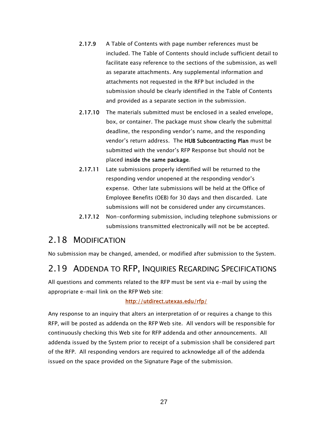- 2.17.9 A Table of Contents with page number references must be included. The Table of Contents should include sufficient detail to facilitate easy reference to the sections of the submission, as well as separate attachments. Any supplemental information and attachments not requested in the RFP but included in the submission should be clearly identified in the Table of Contents and provided as a separate section in the submission.
- 2.17.10 The materials submitted must be enclosed in a sealed envelope, box, or container. The package must show clearly the submittal deadline, the responding vendor's name, and the responding vendor's return address. The HUB Subcontracting Plan must be submitted with the vendor's RFP Response but should not be placed inside the same package.
- 2.17.11 Late submissions properly identified will be returned to the responding vendor unopened at the responding vendor's expense. Other late submissions will be held at the Office of Employee Benefits (OEB) for 30 days and then discarded. Late submissions will not be considered under any circumstances.
- 2.17.12 Non-conforming submission, including telephone submissions or submissions transmitted electronically will not be be accepted.

#### 2.18 MODIFICATION

No submission may be changed, amended, or modified after submission to the System.

#### 2.19 ADDENDA TO RFP, INQUIRIES REGARDING SPECIFICATIONS

All questions and comments related to the RFP must be sent via e-mail by using the appropriate e-mail link on the RFP Web site:

#### http://utdirect.utexas.edu/rfp/

Any response to an inquiry that alters an interpretation of or requires a change to this RFP, will be posted as addenda on the RFP Web site. All vendors will be responsible for continuously checking this Web site for RFP addenda and other announcements. All addenda issued by the System prior to receipt of a submission shall be considered part of the RFP. All responding vendors are required to acknowledge all of the addenda issued on the space provided on the Signature Page of the submission.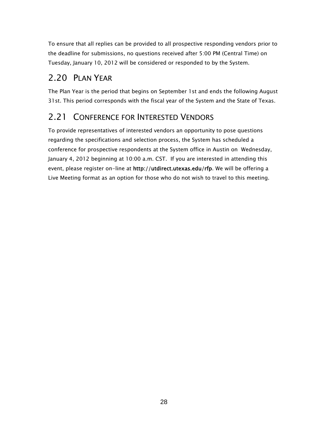To ensure that all replies can be provided to all prospective responding vendors prior to the deadline for submissions, no questions received after 5:00 PM (Central Time) on Tuesday, January 10, 2012 will be considered or responded to by the System.

## 2.20 PLAN YEAR

The Plan Year is the period that begins on September 1st and ends the following August 31st. This period corresponds with the fiscal year of the System and the State of Texas.

### 2.21 CONFERENCE FOR INTERESTED VENDORS

To provide representatives of interested vendors an opportunity to pose questions regarding the specifications and selection process, the System has scheduled a conference for prospective respondents at the System office in Austin on Wednesday, January 4, 2012 beginning at 10:00 a.m. CST. If you are interested in attending this event, please register on-line at http://utdirect.utexas.edu/rfp. We will be offering a Live Meeting format as an option for those who do not wish to travel to this meeting.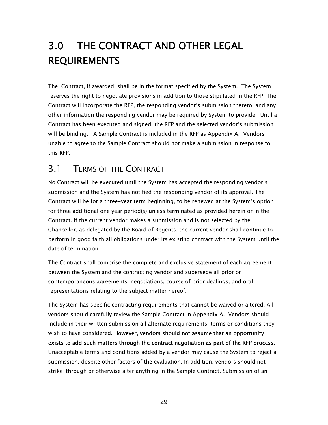# 3.0 THE CONTRACT AND OTHER LEGAL REQUIREMENTS

The Contract, if awarded, shall be in the format specified by the System. The System reserves the right to negotiate provisions in addition to those stipulated in the RFP. The Contract will incorporate the RFP, the responding vendor's submission thereto, and any other information the responding vendor may be required by System to provide. Until a Contract has been executed and signed, the RFP and the selected vendor's submission will be binding. A Sample Contract is included in the RFP as Appendix A. Vendors unable to agree to the Sample Contract should not make a submission in response to this RFP.

### 3.1 TERMS OF THE CONTRACT

No Contract will be executed until the System has accepted the responding vendor's submission and the System has notified the responding vendor of its approval. The Contract will be for a three-year term beginning, to be renewed at the System's option for three additional one year period(s) unless terminated as provided herein or in the Contract. If the current vendor makes a submission and is not selected by the Chancellor, as delegated by the Board of Regents, the current vendor shall continue to perform in good faith all obligations under its existing contract with the System until the date of termination.

The Contract shall comprise the complete and exclusive statement of each agreement between the System and the contracting vendor and supersede all prior or contemporaneous agreements, negotiations, course of prior dealings, and oral representations relating to the subject matter hereof.

The System has specific contracting requirements that cannot be waived or altered. All vendors should carefully review the Sample Contract in Appendix A. Vendors should include in their written submission all alternate requirements, terms or conditions they wish to have considered. However, vendors should not assume that an opportunity exists to add such matters through the contract negotiation as part of the RFP process. Unacceptable terms and conditions added by a vendor may cause the System to reject a submission, despite other factors of the evaluation. In addition, vendors should not strike-through or otherwise alter anything in the Sample Contract. Submission of an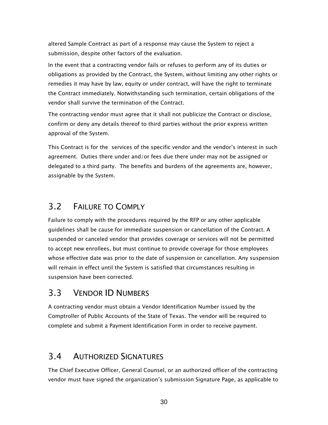altered Sample Contract as part of a response may cause the System to reject a submission, despite other factors of the evaluation.

In the event that a contracting vendor fails or refuses to perform any of its duties or obligations as provided by the Contract, the System, without limiting any other rights or remedies it may have by law, equity or under contract, will have the right to terminate the Contract immediately. Notwithstanding such termination, certain obligations of the vendor shall survive the termination of the Contract.

The contracting vendor must agree that it shall not publicize the Contract or disclose, confirm or deny any details thereof to third parties without the prior express written approval of the System.

This Contract is for the services of the specific vendor and the vendor's interest in such agreement. Duties there under and/or fees due there under may not be assigned or delegated to a third party. The benefits and burdens of the agreements are, however, assignable by the System.

### 3.2 FAILURE TO COMPLY

Failure to comply with the procedures required by the RFP or any other applicable guidelines shall be cause for immediate suspension or cancellation of the Contract. A suspended or canceled vendor that provides coverage or services will not be permitted to accept new enrollees, but must continue to provide coverage for those employees whose effective date was prior to the date of suspension or cancellation. Any suspension will remain in effect until the System is satisfied that circumstances resulting in suspension have been corrected.

#### 3.3 VENDOR ID NUMBERS

A contracting vendor must obtain a Vendor Identification Number issued by the Comptroller of Public Accounts of the State of Texas. The vendor will be required to complete and submit a Payment Identification Form in order to receive payment.

### 3.4 AUTHORIZED SIGNATURES

The Chief Executive Officer, General Counsel, or an authorized officer of the contracting vendor must have signed the organization's submission Signature Page, as applicable to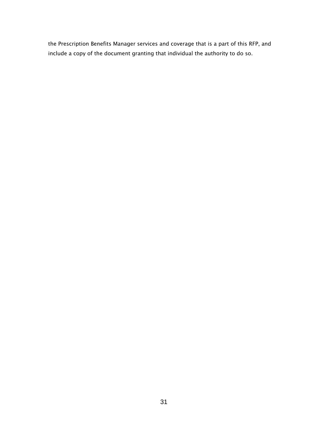the Prescription Benefits Manager services and coverage that is a part of this RFP, and include a copy of the document granting that individual the authority to do so.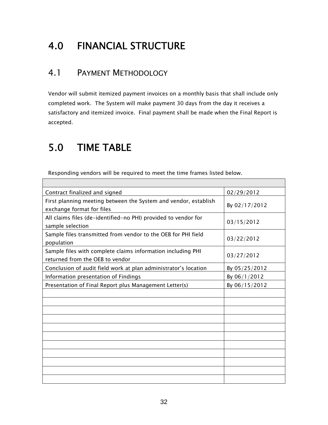# 4.0 FINANCIAL STRUCTURE

### 4.1 PAYMENT METHODOLOGY

Vendor will submit itemized payment invoices on a monthly basis that shall include only completed work. The System will make payment 30 days from the day it receives a satisfactory and itemized invoice. Final payment shall be made when the Final Report is accepted.

## 5.0 TIME TABLE

Responding vendors will be required to meet the time frames listed below.

| Contract finalized and signed                                                                  | 02/29/2012    |
|------------------------------------------------------------------------------------------------|---------------|
| First planning meeting between the System and vendor, establish<br>exchange format for files   | By 02/17/2012 |
| All claims files (de-identified-no PHI) provided to vendor for<br>sample selection             | 03/15/2012    |
| Sample files transmitted from vendor to the OEB for PHI field<br>population                    | 03/22/2012    |
| Sample files with complete claims information including PHI<br>returned from the OEB to vendor | 03/27/2012    |
| Conclusion of audit field work at plan administrator's location                                | By 05/25/2012 |
| Information presentation of Findings                                                           | By 06/1/2012  |
| Presentation of Final Report plus Management Letter(s)                                         | By 06/15/2012 |
|                                                                                                |               |
|                                                                                                |               |
|                                                                                                |               |
|                                                                                                |               |
|                                                                                                |               |
|                                                                                                |               |
|                                                                                                |               |
|                                                                                                |               |
|                                                                                                |               |
|                                                                                                |               |
|                                                                                                |               |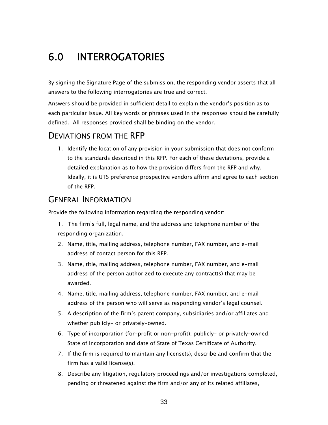# 6.0 INTERROGATORIES

By signing the Signature Page of the submission, the responding vendor asserts that all answers to the following interrogatories are true and correct.

Answers should be provided in sufficient detail to explain the vendor's position as to each particular issue. All key words or phrases used in the responses should be carefully defined. All responses provided shall be binding on the vendor.

#### DEVIATIONS FROM THE RFP

1. Identify the location of any provision in your submission that does not conform to the standards described in this RFP. For each of these deviations, provide a detailed explanation as to how the provision differs from the RFP and why. Ideally, it is UTS preference prospective vendors affirm and agree to each section of the RFP.

#### GENERAL INFORMATION

Provide the following information regarding the responding vendor:

- 1. The firm's full, legal name, and the address and telephone number of the responding organization.
- 2. Name, title, mailing address, telephone number, FAX number, and e-mail address of contact person for this RFP.
- 3. Name, title, mailing address, telephone number, FAX number, and e-mail address of the person authorized to execute any contract(s) that may be awarded.
- 4. Name, title, mailing address, telephone number, FAX number, and e-mail address of the person who will serve as responding vendor's legal counsel.
- 5. A description of the firm's parent company, subsidiaries and/or affiliates and whether publicly- or privately-owned.
- 6. Type of incorporation (for-profit or non-profit); publicly- or privately-owned; State of incorporation and date of State of Texas Certificate of Authority.
- 7. If the firm is required to maintain any license(s), describe and confirm that the firm has a valid license(s).
- 8. Describe any litigation, regulatory proceedings and/or investigations completed, pending or threatened against the firm and/or any of its related affiliates,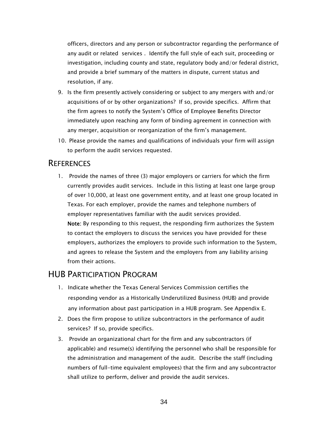officers, directors and any person or subcontractor regarding the performance of any audit or related services . Identify the full style of each suit, proceeding or investigation, including county and state, regulatory body and/or federal district, and provide a brief summary of the matters in dispute, current status and resolution, if any.

- 9. Is the firm presently actively considering or subject to any mergers with and/or acquisitions of or by other organizations? If so, provide specifics. Affirm that the firm agrees to notify the System's Office of Employee Benefits Director immediately upon reaching any form of binding agreement in connection with any merger, acquisition or reorganization of the firm's management.
- 10. Please provide the names and qualifications of individuals your firm will assign to perform the audit services requested.

#### **REFERENCES**

1. Provide the names of three (3) major employers or carriers for which the firm currently provides audit services. Include in this listing at least one large group of over 10,000, at least one government entity, and at least one group located in Texas. For each employer, provide the names and telephone numbers of employer representatives familiar with the audit services provided. Note: By responding to this request, the responding firm authorizes the System to contact the employers to discuss the services you have provided for these employers, authorizes the employers to provide such information to the System, and agrees to release the System and the employers from any liability arising from their actions.

#### HUB PARTICIPATION PROGRAM

- 1. Indicate whether the Texas General Services Commission certifies the responding vendor as a Historically Underutilized Business (HUB) and provide any information about past participation in a HUB program. See Appendix E.
- 2. Does the firm propose to utilize subcontractors in the performance of audit services? If so, provide specifics.
- 3. Provide an organizational chart for the firm and any subcontractors (if applicable) and resume(s) identifying the personnel who shall be responsible for the administration and management of the audit. Describe the staff (including numbers of full-time equivalent employees) that the firm and any subcontractor shall utilize to perform, deliver and provide the audit services.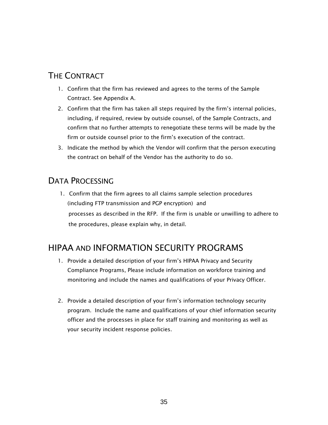### THE CONTRACT

- 1. Confirm that the firm has reviewed and agrees to the terms of the Sample Contract. See Appendix A.
- 2. Confirm that the firm has taken all steps required by the firm's internal policies, including, if required, review by outside counsel, of the Sample Contracts, and confirm that no further attempts to renegotiate these terms will be made by the firm or outside counsel prior to the firm's execution of the contract.
- 3. Indicate the method by which the Vendor will confirm that the person executing the contract on behalf of the Vendor has the authority to do so.

### DATA PROCESSING

1. Confirm that the firm agrees to all claims sample selection procedures (including FTP transmission and PGP encryption) and processes as described in the RFP. If the firm is unable or unwilling to adhere to the procedures, please explain why, in detail.

## HIPAA AND INFORMATION SECURITY PROGRAMS

- 1. Provide a detailed description of your firm's HIPAA Privacy and Security Compliance Programs, Please include information on workforce training and monitoring and include the names and qualifications of your Privacy Officer.
- 2. Provide a detailed description of your firm's information technology security program. Include the name and qualifications of your chief information security officer and the processes in place for staff training and monitoring as well as your security incident response policies.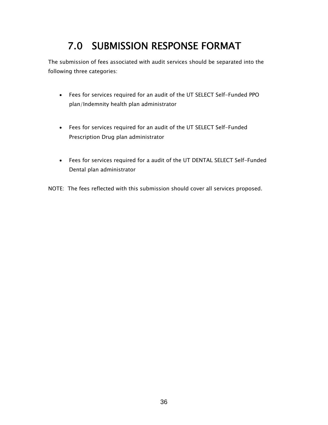# 7.0 SUBMISSION RESPONSE FORMAT

The submission of fees associated with audit services should be separated into the following three categories:

- Fees for services required for an audit of the UT SELECT Self-Funded PPO plan/Indemnity health plan administrator
- Fees for services required for an audit of the UT SELECT Self-Funded Prescription Drug plan administrator
- Fees for services required for a audit of the UT DENTAL SELECT Self-Funded Dental plan administrator

NOTE: The fees reflected with this submission should cover all services proposed.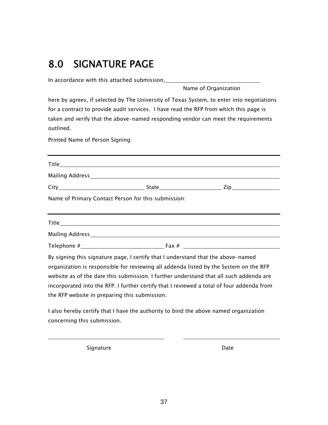# 8.0 SIGNATURE PAGE

In accordance with this attached submission,

Name of Organization

here by agrees, if selected by The University of Texas System, to enter into negotiations for a contract to provide audit services. I have read the RFP from which this page is taken and verify that the above-named responding vendor can meet the requirements outlined.

Printed Name of Person Signing:

| Name of Primary Contact Person for this submission:                                                                   |  |  |  |  |  |
|-----------------------------------------------------------------------------------------------------------------------|--|--|--|--|--|
| <u> 1989 - Johann Harry Harry Harry Harry Harry Harry Harry Harry Harry Harry Harry Harry Harry Harry Harry Harry</u> |  |  |  |  |  |
|                                                                                                                       |  |  |  |  |  |
|                                                                                                                       |  |  |  |  |  |
|                                                                                                                       |  |  |  |  |  |
| By signing this signature page, I certify that I understand that the above-named                                      |  |  |  |  |  |
| organization is responsible for reviewing all addenda listed by the System on the RFP                                 |  |  |  |  |  |
| website as of the date this submission. I further understand that all such addenda are                                |  |  |  |  |  |
| incorporated into the RFP. I further certify that I reviewed a total of four addenda from                             |  |  |  |  |  |
| the RFP website in preparing this submission.                                                                         |  |  |  |  |  |

I also hereby certify that I have the authority to bind the above named organization concerning this submission.

Signature Date Date

 $\overline{a}$